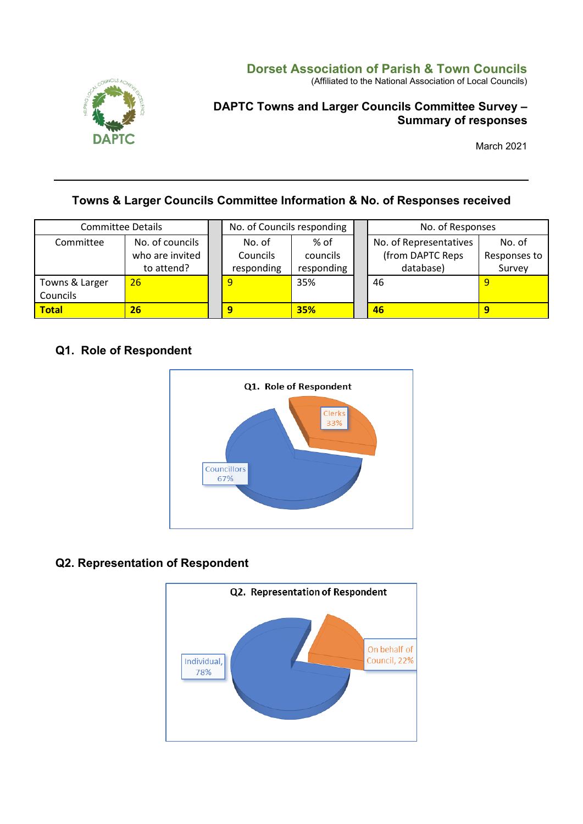

### **Dorset Association of Parish & Town Councils**

(Affiliated to the National Association of Local Councils)

### **DAPTC Towns and Larger Councils Committee Survey – Summary of responses**

March 2021

# **Towns & Larger Councils Committee Information & No. of Responses received**

| <b>Committee Details</b> |                                                  |                                  | No. of Councils responding     |  | No. of Responses                                        |                                  |
|--------------------------|--------------------------------------------------|----------------------------------|--------------------------------|--|---------------------------------------------------------|----------------------------------|
| Committee                | No. of councils<br>who are invited<br>to attend? | No. of<br>Councils<br>responding | % of<br>councils<br>responding |  | No. of Representatives<br>(from DAPTC Reps<br>database) | No. of<br>Responses to<br>Survey |
| Towns & Larger           | 26                                               |                                  | 35%                            |  | 46                                                      |                                  |
| Councils                 |                                                  |                                  |                                |  |                                                         |                                  |
| <b>Total</b>             | 26                                               |                                  | <b>35%</b>                     |  | 46                                                      | 9                                |

### **Q1. Role of Respondent**



### **Q2. Representation of Respondent**

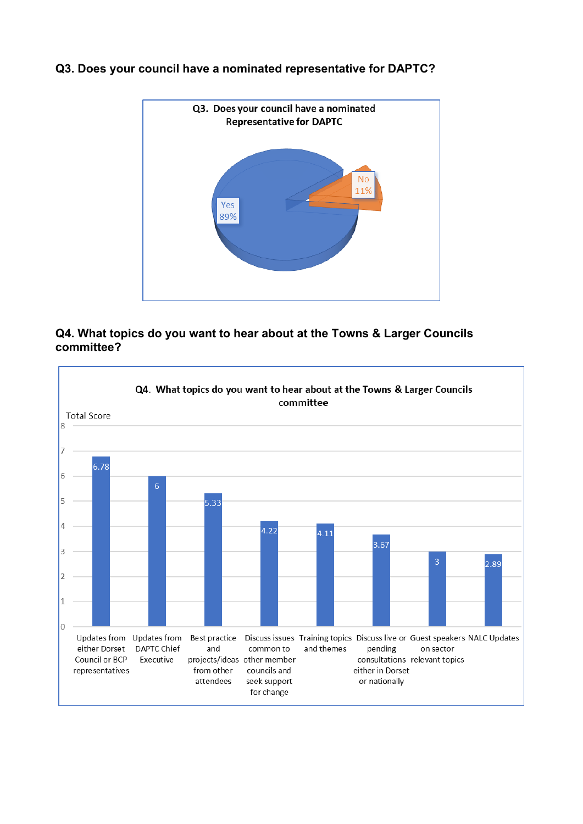

#### **Q3. Does your council have a nominated representative for DAPTC?**

### **Q4. What topics do you want to hear about at the Towns & Larger Councils committee?**

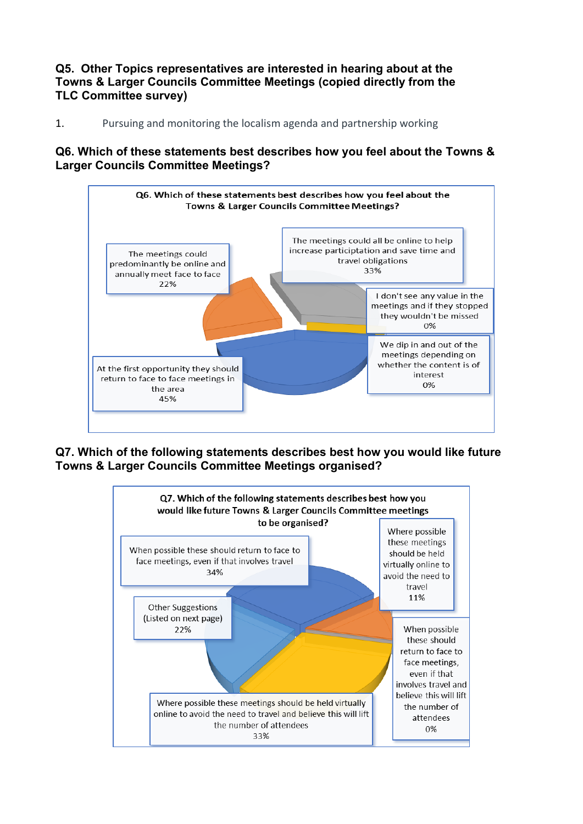**Q5. Other Topics representatives are interested in hearing about at the Towns & Larger Councils Committee Meetings (copied directly from the TLC Committee survey)**

1. Pursuing and monitoring the localism agenda and partnership working

**Q6. Which of these statements best describes how you feel about the Towns & Larger Councils Committee Meetings?**



**Q7. Which of the following statements describes best how you would like future Towns & Larger Councils Committee Meetings organised?**

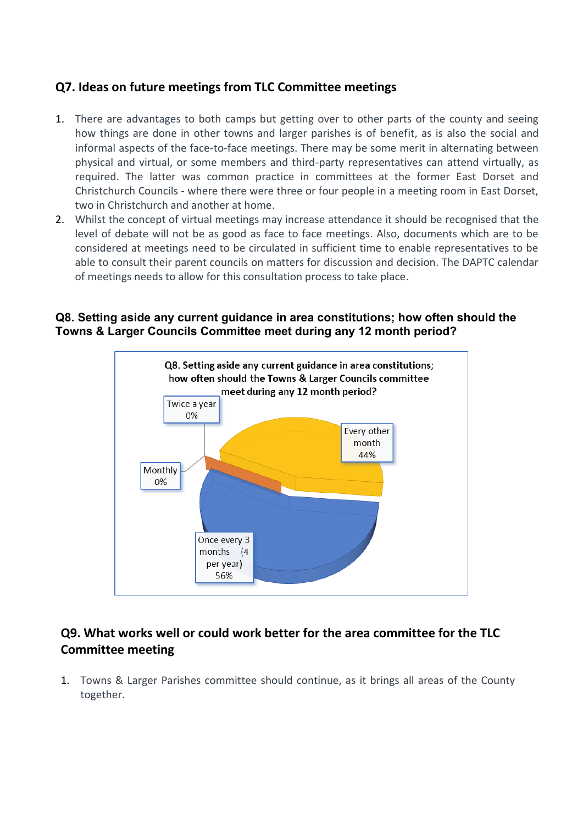## **Q7. Ideas on future meetings from TLC Committee meetings**

- 1. There are advantages to both camps but getting over to other parts of the county and seeing how things are done in other towns and larger parishes is of benefit, as is also the social and informal aspects of the face-to-face meetings. There may be some merit in alternating between physical and virtual, or some members and third-party representatives can attend virtually, as required. The latter was common practice in committees at the former East Dorset and Christchurch Councils - where there were three or four people in a meeting room in East Dorset, two in Christchurch and another at home.
- 2. Whilst the concept of virtual meetings may increase attendance it should be recognised that the level of debate will not be as good as face to face meetings. Also, documents which are to be considered at meetings need to be circulated in sufficient time to enable representatives to be able to consult their parent councils on matters for discussion and decision. The DAPTC calendar of meetings needs to allow for this consultation process to take place.

#### **Q8. Setting aside any current guidance in area constitutions; how often should the Towns & Larger Councils Committee meet during any 12 month period?**



# **Q9. What works well or could work better for the area committee for the TLC Committee meeting**

1. Towns & Larger Parishes committee should continue, as it brings all areas of the County together.